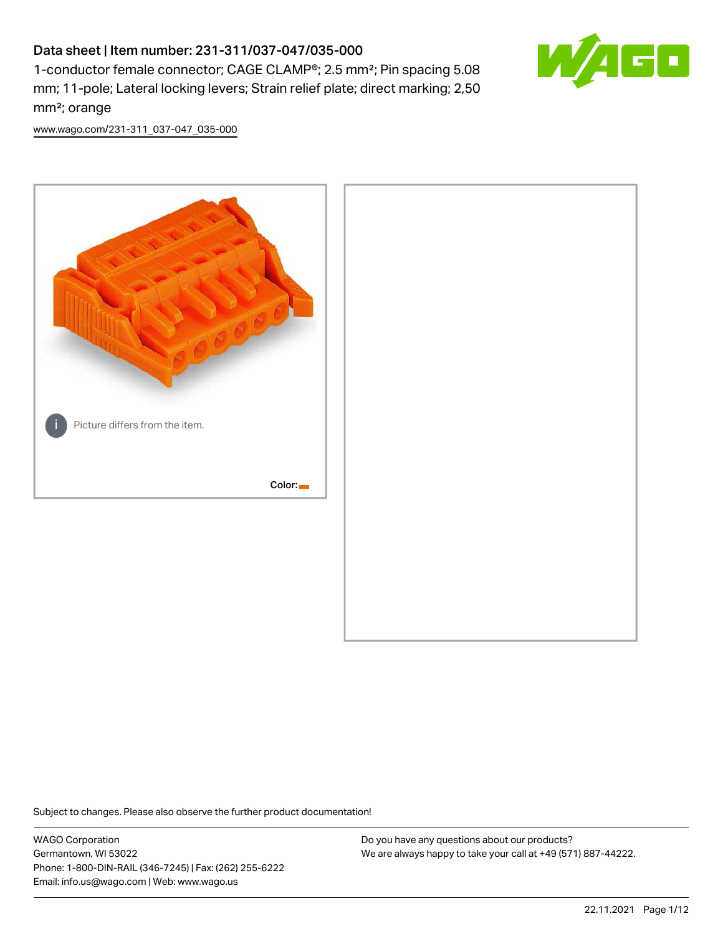# Data sheet | Item number: 231-311/037-047/035-000 1-conductor female connector; CAGE CLAMP®; 2.5 mm²; Pin spacing 5.08 mm; 11-pole; Lateral locking levers; Strain relief plate; direct marking; 2,50 mm²; orange



[www.wago.com/231-311\\_037-047\\_035-000](http://www.wago.com/231-311_037-047_035-000)



Subject to changes. Please also observe the further product documentation!

WAGO Corporation Germantown, WI 53022 Phone: 1-800-DIN-RAIL (346-7245) | Fax: (262) 255-6222 Email: info.us@wago.com | Web: www.wago.us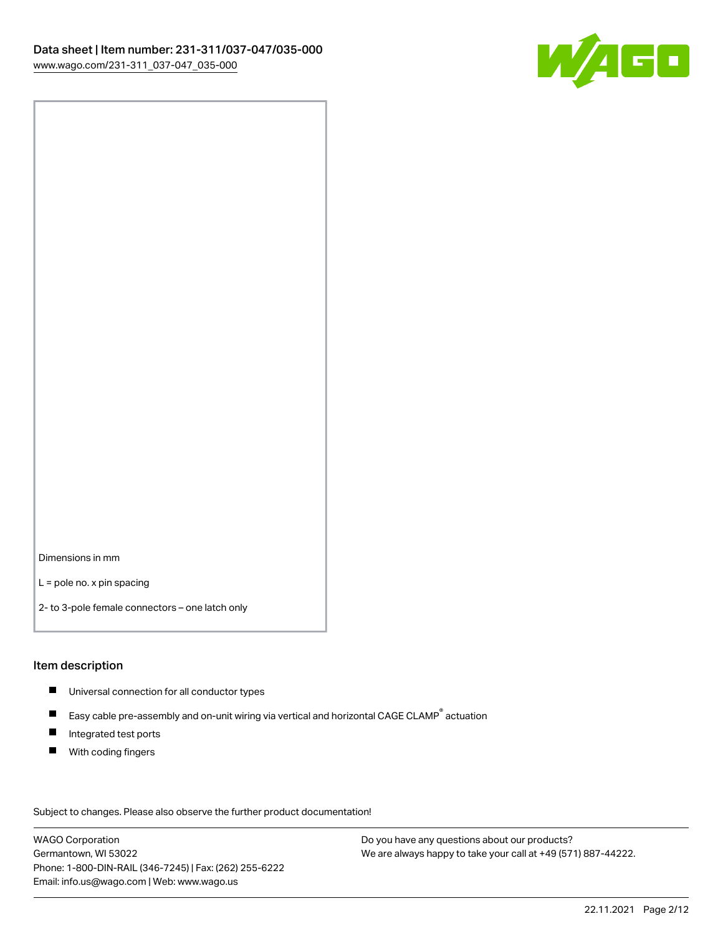

Dimensions in mm

L = pole no. x pin spacing

2- to 3-pole female connectors – one latch only

### Item description

- **Universal connection for all conductor types**
- Easy cable pre-assembly and on-unit wiring via vertical and horizontal CAGE CLAMP<sup>®</sup> actuation  $\blacksquare$
- $\blacksquare$ Integrated test ports
- $\blacksquare$ With coding fingers

Subject to changes. Please also observe the further product documentation! Data

WAGO Corporation Germantown, WI 53022 Phone: 1-800-DIN-RAIL (346-7245) | Fax: (262) 255-6222 Email: info.us@wago.com | Web: www.wago.us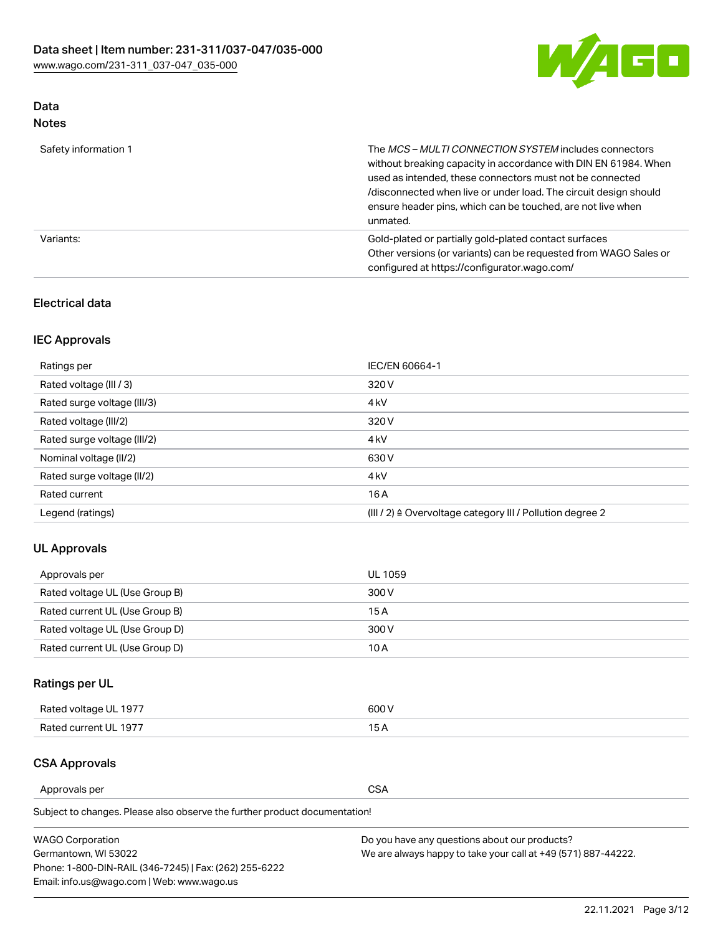

#### Data Notes

| ㅋ)いっ |  |
|------|--|
|      |  |
|      |  |
|      |  |

| Safety information 1 | The MCS-MULTI CONNECTION SYSTEM includes connectors<br>without breaking capacity in accordance with DIN EN 61984. When<br>used as intended, these connectors must not be connected<br>/disconnected when live or under load. The circuit design should<br>ensure header pins, which can be touched, are not live when<br>unmated. |
|----------------------|-----------------------------------------------------------------------------------------------------------------------------------------------------------------------------------------------------------------------------------------------------------------------------------------------------------------------------------|
| Variants:            | Gold-plated or partially gold-plated contact surfaces<br>Other versions (or variants) can be requested from WAGO Sales or<br>configured at https://configurator.wago.com/                                                                                                                                                         |

### Electrical data

## IEC Approvals

| Ratings per                 | IEC/EN 60664-1                                                        |
|-----------------------------|-----------------------------------------------------------------------|
| Rated voltage (III / 3)     | 320 V                                                                 |
| Rated surge voltage (III/3) | 4 <sub>k</sub> V                                                      |
| Rated voltage (III/2)       | 320 V                                                                 |
| Rated surge voltage (III/2) | 4 <sub>k</sub> V                                                      |
| Nominal voltage (II/2)      | 630 V                                                                 |
| Rated surge voltage (II/2)  | 4 <sub>k</sub> V                                                      |
| Rated current               | 16A                                                                   |
| Legend (ratings)            | $(III / 2)$ $\triangle$ Overvoltage category III / Pollution degree 2 |

### UL Approvals

| Approvals per                  | UL 1059 |
|--------------------------------|---------|
| Rated voltage UL (Use Group B) | 300 V   |
| Rated current UL (Use Group B) | 15 A    |
| Rated voltage UL (Use Group D) | 300 V   |
| Rated current UL (Use Group D) | 10 A    |

## Ratings per UL

| Rated voltage UL 1977 | 500 V  |
|-----------------------|--------|
| Rated current UL 1977 | $\sim$ |

### CSA Approvals

Approvals per CSA

Subject to changes. Please also observe the further product documentation!

| <b>WAGO Corporation</b>                                | Do you have any questions about our products?                 |
|--------------------------------------------------------|---------------------------------------------------------------|
| Germantown, WI 53022                                   | We are always happy to take your call at +49 (571) 887-44222. |
| Phone: 1-800-DIN-RAIL (346-7245)   Fax: (262) 255-6222 |                                                               |
| Email: info.us@wago.com   Web: www.wago.us             |                                                               |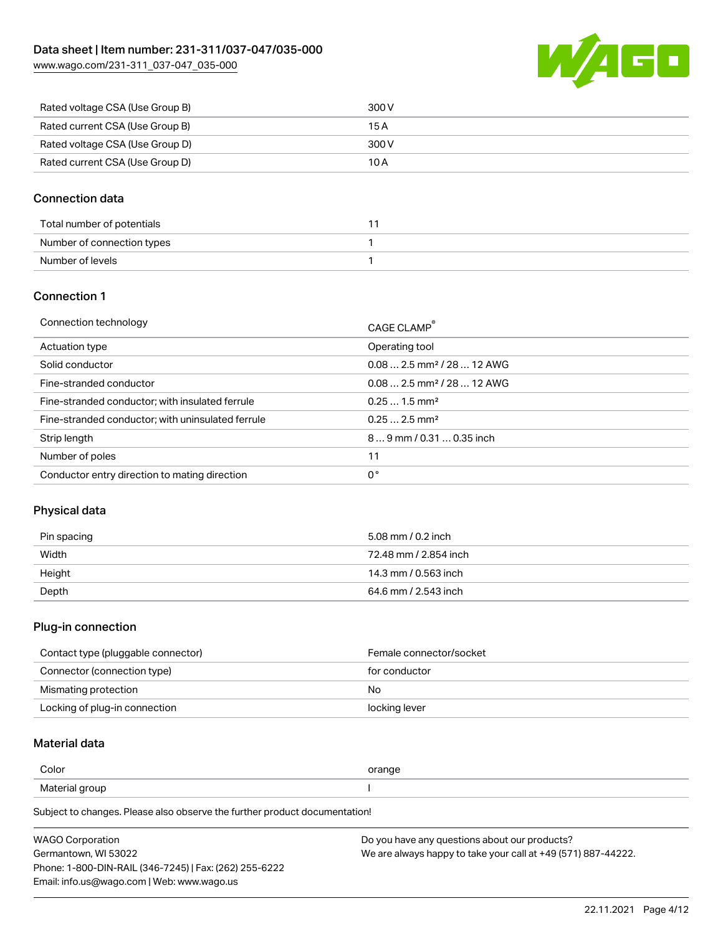WAGO

| Rated voltage CSA (Lise Group B) | 300V |
|----------------------------------|------|

| Rated voltage CSA (Use Group B) | 300 V |
|---------------------------------|-------|
| Rated current CSA (Use Group B) | 15 A  |
| Rated voltage CSA (Use Group D) | 300 V |
| Rated current CSA (Use Group D) | 10 A  |

### Connection data

| Total number of potentials |  |
|----------------------------|--|
| Number of connection types |  |
| Number of levels           |  |

### Connection 1

| Connection technology                             | CAGE CLAMP®                            |
|---------------------------------------------------|----------------------------------------|
| Actuation type                                    | Operating tool                         |
| Solid conductor                                   | $0.082.5$ mm <sup>2</sup> / 28  12 AWG |
| Fine-stranded conductor                           | $0.082.5$ mm <sup>2</sup> / 28  12 AWG |
| Fine-stranded conductor; with insulated ferrule   | $0.251.5$ mm <sup>2</sup>              |
| Fine-stranded conductor; with uninsulated ferrule | $0.252.5$ mm <sup>2</sup>              |
| Strip length                                      | $89$ mm / 0.31  0.35 inch              |
| Number of poles                                   | 11                                     |
| Conductor entry direction to mating direction     | 0°                                     |

### Physical data

| Pin spacing | 5.08 mm / 0.2 inch    |
|-------------|-----------------------|
| Width       | 72.48 mm / 2.854 inch |
| Height      | 14.3 mm / 0.563 inch  |
| Depth       | 64.6 mm / 2.543 inch  |

### Plug-in connection

| Contact type (pluggable connector) | Female connector/socket |
|------------------------------------|-------------------------|
| Connector (connection type)        | for conductor           |
| Mismating protection               | No                      |
| Locking of plug-in connection      | locking lever           |

## Material data

| Color<br>orange<br>ം പ. പ |  |
|---------------------------|--|
| Material group            |  |

Subject to changes. Please also observe the further product documentation!

| <b>WAGO Corporation</b>                                | Do you have any questions about our products?                 |
|--------------------------------------------------------|---------------------------------------------------------------|
| Germantown, WI 53022                                   | We are always happy to take your call at +49 (571) 887-44222. |
| Phone: 1-800-DIN-RAIL (346-7245)   Fax: (262) 255-6222 |                                                               |
| Email: info.us@wago.com   Web: www.wago.us             |                                                               |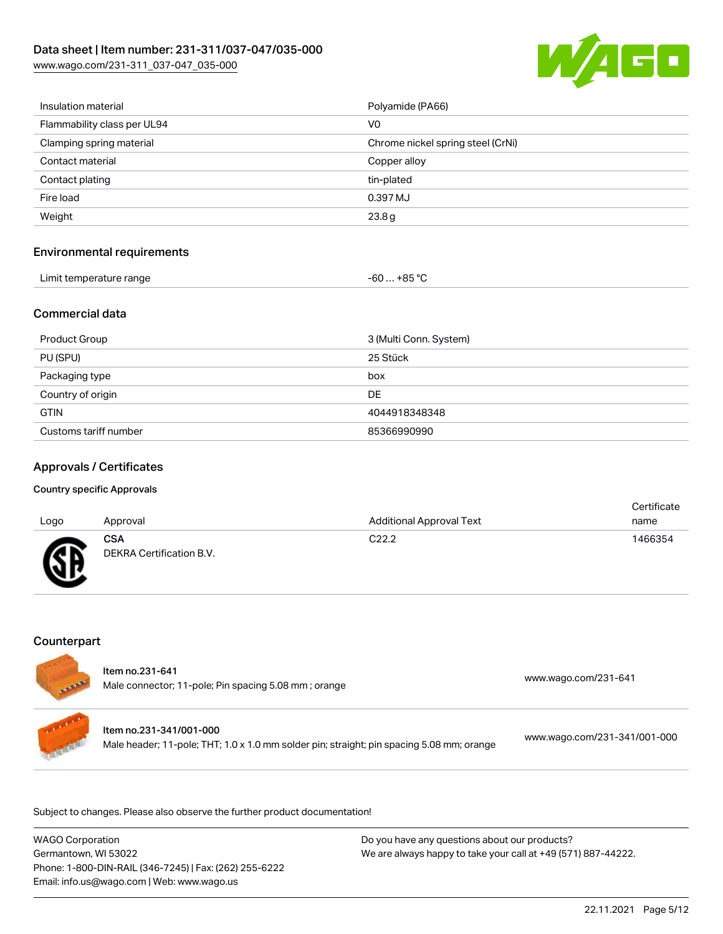

| Insulation material         | Polyamide (PA66)                  |
|-----------------------------|-----------------------------------|
| Flammability class per UL94 | V0                                |
| Clamping spring material    | Chrome nickel spring steel (CrNi) |
| Contact material            | Copper alloy                      |
| Contact plating             | tin-plated                        |
| Fire load                   | 0.397 MJ                          |
| Weight                      | 23.8 <sub>g</sub>                 |
|                             |                                   |

### Environmental requirements

| Limit temperature range | … +85 ° <sup>∩</sup><br>-60 |  |
|-------------------------|-----------------------------|--|

### Commercial data

| Product Group         | 3 (Multi Conn. System) |
|-----------------------|------------------------|
| PU (SPU)              | 25 Stück               |
| Packaging type        | box                    |
| Country of origin     | DE                     |
| <b>GTIN</b>           | 4044918348348          |
| Customs tariff number | 85366990990            |

### Approvals / Certificates

#### Country specific Approvals

| Logo | Approval                               | <b>Additional Approval Text</b> | Certificate<br>name |
|------|----------------------------------------|---------------------------------|---------------------|
| ЛR   | <b>CSA</b><br>DEKRA Certification B.V. | C <sub>22.2</sub>               | 1466354             |

#### Counterpart



#### Item no.231-641

Male connector; 11-pole; Pin spacing 5.08 mm ; orange [www.wago.com/231-641](https://www.wago.com/231-641)



#### Item no.231-341/001-000

Male header; 11-pole; THT; 1.0 x 1.0 mm solder pin; straight; pin spacing 5.08 mm; orange [www.wago.com/231-341/001-000](https://www.wago.com/231-341/001-000)

Subject to changes. Please also observe the further product documentation!

WAGO Corporation Germantown, WI 53022 Phone: 1-800-DIN-RAIL (346-7245) | Fax: (262) 255-6222 Email: info.us@wago.com | Web: www.wago.us Do you have any questions about our products? We are always happy to take your call at +49 (571) 887-44222.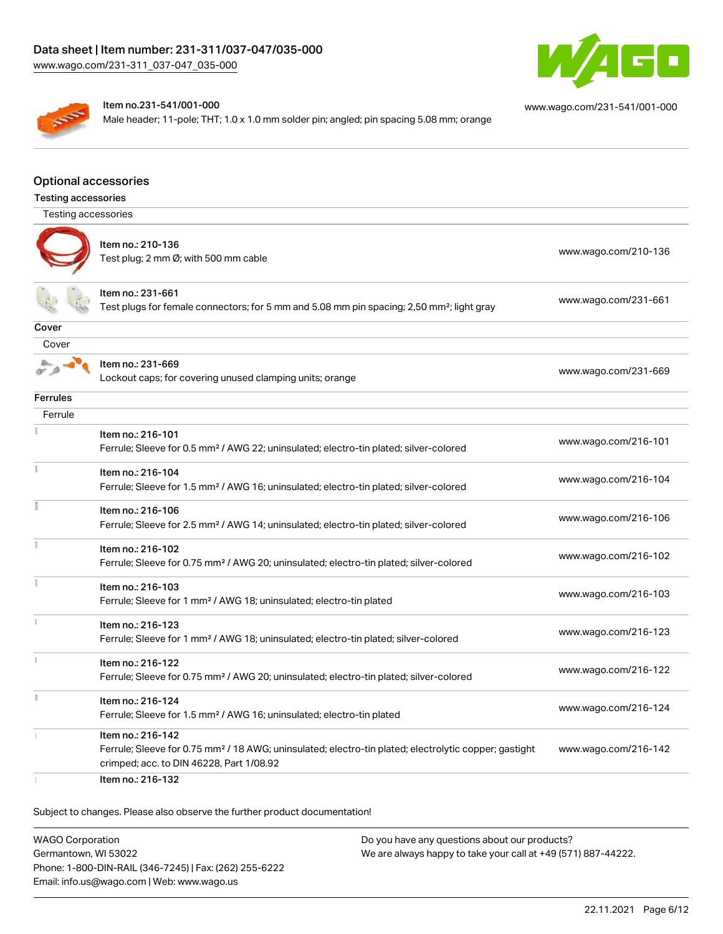[www.wago.com/231-311\\_037-047\\_035-000](http://www.wago.com/231-311_037-047_035-000)



[www.wago.com/231-541/001-000](https://www.wago.com/231-541/001-000)



#### Item no.231-541/001-000

Male header; 11-pole; THT; 1.0 x 1.0 mm solder pin; angled; pin spacing 5.08 mm; orange

## Optional accessories

| <b>Testing accessories</b> |                                                                                                                                                                                    |                      |
|----------------------------|------------------------------------------------------------------------------------------------------------------------------------------------------------------------------------|----------------------|
| Testing accessories        |                                                                                                                                                                                    |                      |
|                            | Item no.: 210-136<br>Test plug; 2 mm Ø; with 500 mm cable                                                                                                                          | www.wago.com/210-136 |
|                            | Item no.: 231-661<br>Test plugs for female connectors; for 5 mm and 5.08 mm pin spacing; 2,50 mm <sup>2</sup> ; light gray                                                         | www.wago.com/231-661 |
| Cover                      |                                                                                                                                                                                    |                      |
| Cover                      |                                                                                                                                                                                    |                      |
|                            | Item no.: 231-669<br>Lockout caps; for covering unused clamping units; orange                                                                                                      | www.wago.com/231-669 |
| <b>Ferrules</b>            |                                                                                                                                                                                    |                      |
| Ferrule                    |                                                                                                                                                                                    |                      |
|                            | Item no.: 216-101<br>Ferrule; Sleeve for 0.5 mm <sup>2</sup> / AWG 22; uninsulated; electro-tin plated; silver-colored                                                             | www.wago.com/216-101 |
| š                          | Item no.: 216-104<br>Ferrule; Sleeve for 1.5 mm <sup>2</sup> / AWG 16; uninsulated; electro-tin plated; silver-colored                                                             | www.wago.com/216-104 |
|                            | Item no.: 216-106<br>Ferrule; Sleeve for 2.5 mm <sup>2</sup> / AWG 14; uninsulated; electro-tin plated; silver-colored                                                             | www.wago.com/216-106 |
|                            | Item no.: 216-102<br>Ferrule; Sleeve for 0.75 mm <sup>2</sup> / AWG 20; uninsulated; electro-tin plated; silver-colored                                                            | www.wago.com/216-102 |
| Ŧ                          | Item no.: 216-103<br>Ferrule; Sleeve for 1 mm <sup>2</sup> / AWG 18; uninsulated; electro-tin plated                                                                               | www.wago.com/216-103 |
| $\mathbf{1}$               | Item no.: 216-123<br>Ferrule; Sleeve for 1 mm <sup>2</sup> / AWG 18; uninsulated; electro-tin plated; silver-colored                                                               | www.wago.com/216-123 |
|                            | Item no.: 216-122<br>Ferrule; Sleeve for 0.75 mm <sup>2</sup> / AWG 20; uninsulated; electro-tin plated; silver-colored                                                            | www.wago.com/216-122 |
| ĭ.                         | Item no.: 216-124<br>Ferrule; Sleeve for 1.5 mm <sup>2</sup> / AWG 16; uninsulated; electro-tin plated                                                                             | www.wago.com/216-124 |
|                            | Item no.: 216-142<br>Ferrule; Sleeve for 0.75 mm <sup>2</sup> / 18 AWG; uninsulated; electro-tin plated; electrolytic copper; gastight<br>crimped; acc. to DIN 46228, Part 1/08.92 | www.wago.com/216-142 |
|                            | Item no.: 216-132                                                                                                                                                                  |                      |

Subject to changes. Please also observe the further product documentation!

WAGO Corporation Germantown, WI 53022 Phone: 1-800-DIN-RAIL (346-7245) | Fax: (262) 255-6222 Email: info.us@wago.com | Web: www.wago.us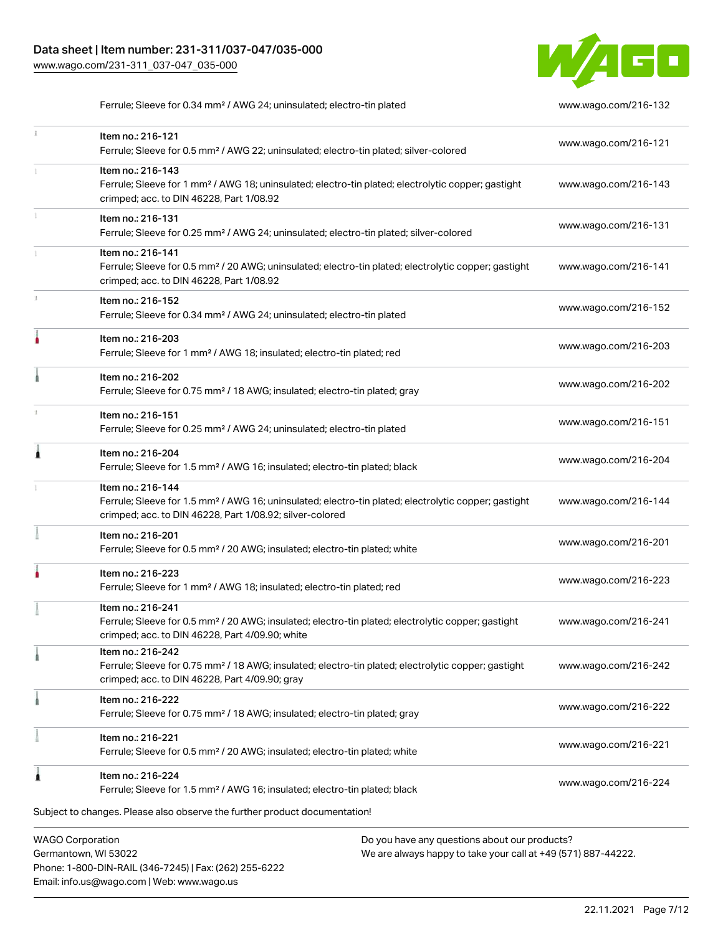[www.wago.com/231-311\\_037-047\\_035-000](http://www.wago.com/231-311_037-047_035-000)

Phone: 1-800-DIN-RAIL (346-7245) | Fax: (262) 255-6222

Email: info.us@wago.com | Web: www.wago.us



Ferrule; Sleeve for 0.34 mm<sup>2</sup> / AWG 24; uninsulated; electro-tin plated [www.wago.com/216-132](http://www.wago.com/216-132)

| ĵ.            | Item no.: 216-121<br>Ferrule; Sleeve for 0.5 mm <sup>2</sup> / AWG 22; uninsulated; electro-tin plated; silver-colored                                                                            | www.wago.com/216-121 |
|---------------|---------------------------------------------------------------------------------------------------------------------------------------------------------------------------------------------------|----------------------|
| $\mathbbm{1}$ | Item no.: 216-143<br>Ferrule; Sleeve for 1 mm <sup>2</sup> / AWG 18; uninsulated; electro-tin plated; electrolytic copper; gastight<br>crimped; acc. to DIN 46228, Part 1/08.92                   | www.wago.com/216-143 |
| I.            | Item no.: 216-131<br>Ferrule; Sleeve for 0.25 mm <sup>2</sup> / AWG 24; uninsulated; electro-tin plated; silver-colored                                                                           | www.wago.com/216-131 |
|               | Item no.: 216-141<br>Ferrule; Sleeve for 0.5 mm <sup>2</sup> / 20 AWG; uninsulated; electro-tin plated; electrolytic copper; gastight<br>crimped; acc. to DIN 46228, Part 1/08.92                 | www.wago.com/216-141 |
| J.            | Item no.: 216-152<br>Ferrule; Sleeve for 0.34 mm <sup>2</sup> / AWG 24; uninsulated; electro-tin plated                                                                                           | www.wago.com/216-152 |
| ٠             | Item no.: 216-203<br>Ferrule; Sleeve for 1 mm <sup>2</sup> / AWG 18; insulated; electro-tin plated; red                                                                                           | www.wago.com/216-203 |
|               | Item no.: 216-202<br>Ferrule; Sleeve for 0.75 mm <sup>2</sup> / 18 AWG; insulated; electro-tin plated; gray                                                                                       | www.wago.com/216-202 |
| T.            | Item no.: 216-151<br>Ferrule; Sleeve for 0.25 mm <sup>2</sup> / AWG 24; uninsulated; electro-tin plated                                                                                           | www.wago.com/216-151 |
| Ă             | Item no.: 216-204<br>Ferrule; Sleeve for 1.5 mm <sup>2</sup> / AWG 16; insulated; electro-tin plated; black                                                                                       | www.wago.com/216-204 |
|               | Item no.: 216-144<br>Ferrule; Sleeve for 1.5 mm <sup>2</sup> / AWG 16; uninsulated; electro-tin plated; electrolytic copper; gastight<br>crimped; acc. to DIN 46228, Part 1/08.92; silver-colored | www.wago.com/216-144 |
|               | Item no.: 216-201<br>Ferrule; Sleeve for 0.5 mm <sup>2</sup> / 20 AWG; insulated; electro-tin plated; white                                                                                       | www.wago.com/216-201 |
|               | Item no.: 216-223<br>Ferrule; Sleeve for 1 mm <sup>2</sup> / AWG 18; insulated; electro-tin plated; red                                                                                           | www.wago.com/216-223 |
|               | Item no.: 216-241<br>Ferrule; Sleeve for 0.5 mm <sup>2</sup> / 20 AWG; insulated; electro-tin plated; electrolytic copper; gastight<br>crimped; acc. to DIN 46228, Part 4/09.90; white            | www.wago.com/216-241 |
|               | Item no.: 216-242<br>Ferrule; Sleeve for 0.75 mm <sup>2</sup> / 18 AWG; insulated; electro-tin plated; electrolytic copper; gastight<br>crimped; acc. to DIN 46228, Part 4/09.90; gray            | www.wago.com/216-242 |
|               | Item no.: 216-222<br>Ferrule; Sleeve for 0.75 mm <sup>2</sup> / 18 AWG; insulated; electro-tin plated; gray                                                                                       | www.wago.com/216-222 |
|               | Item no.: 216-221<br>Ferrule; Sleeve for 0.5 mm <sup>2</sup> / 20 AWG; insulated; electro-tin plated; white                                                                                       | www.wago.com/216-221 |
| 1             | Item no.: 216-224<br>Ferrule; Sleeve for 1.5 mm <sup>2</sup> / AWG 16; insulated; electro-tin plated; black                                                                                       | www.wago.com/216-224 |
|               | Subject to changes. Please also observe the further product documentation!                                                                                                                        |                      |
|               | <b>WAGO Corporation</b><br>Do you have any questions about our products?<br>Germantown, WI 53022<br>We are always happy to take your call at +49 (571) 887-44222.                                 |                      |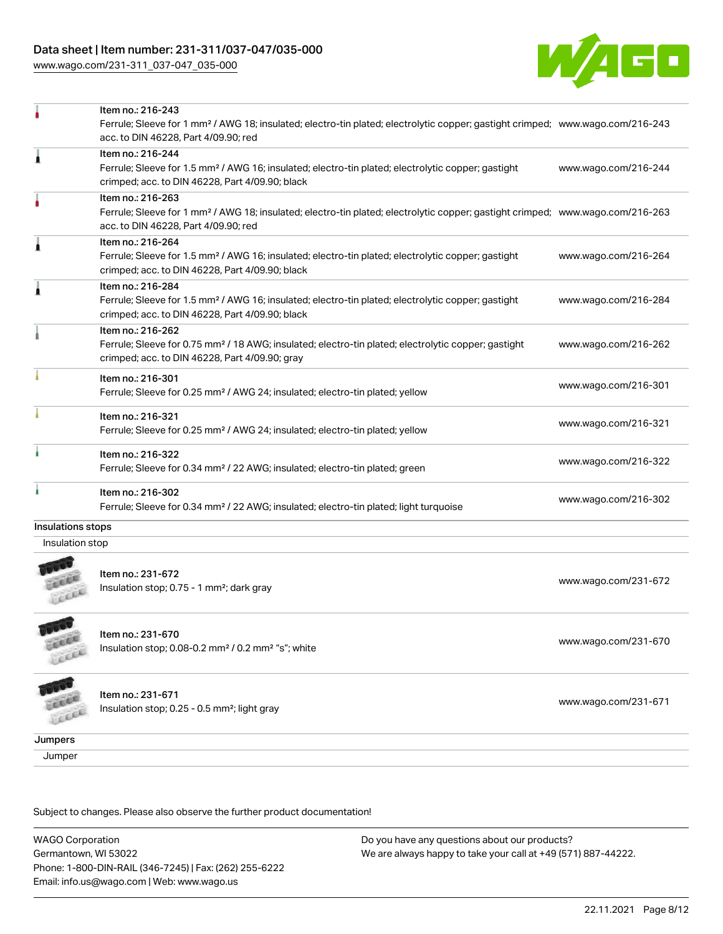### Data sheet | Item number: 231-311/037-047/035-000

[www.wago.com/231-311\\_037-047\\_035-000](http://www.wago.com/231-311_037-047_035-000)



|                   | Item no.: 216-243                                                                                                                          |                      |
|-------------------|--------------------------------------------------------------------------------------------------------------------------------------------|----------------------|
|                   | Ferrule; Sleeve for 1 mm <sup>2</sup> / AWG 18; insulated; electro-tin plated; electrolytic copper; gastight crimped; www.wago.com/216-243 |                      |
|                   | acc. to DIN 46228, Part 4/09.90; red                                                                                                       |                      |
| Ă                 | Item no.: 216-244                                                                                                                          |                      |
|                   | Ferrule; Sleeve for 1.5 mm <sup>2</sup> / AWG 16; insulated; electro-tin plated; electrolytic copper; gastight                             | www.wago.com/216-244 |
|                   | crimped; acc. to DIN 46228, Part 4/09.90; black                                                                                            |                      |
|                   | Item no.: 216-263                                                                                                                          |                      |
|                   | Ferrule; Sleeve for 1 mm <sup>2</sup> / AWG 18; insulated; electro-tin plated; electrolytic copper; gastight crimped; www.wago.com/216-263 |                      |
|                   | acc. to DIN 46228, Part 4/09.90; red                                                                                                       |                      |
| Â                 | Item no.: 216-264                                                                                                                          |                      |
|                   | Ferrule; Sleeve for 1.5 mm <sup>2</sup> / AWG 16; insulated; electro-tin plated; electrolytic copper; gastight                             | www.wago.com/216-264 |
|                   | crimped; acc. to DIN 46228, Part 4/09.90; black                                                                                            |                      |
| Ă                 | Item no.: 216-284                                                                                                                          |                      |
|                   | Ferrule; Sleeve for 1.5 mm <sup>2</sup> / AWG 16; insulated; electro-tin plated; electrolytic copper; gastight                             | www.wago.com/216-284 |
|                   | crimped; acc. to DIN 46228, Part 4/09.90; black                                                                                            |                      |
|                   | Item no.: 216-262                                                                                                                          |                      |
|                   | Ferrule; Sleeve for 0.75 mm <sup>2</sup> / 18 AWG; insulated; electro-tin plated; electrolytic copper; gastight                            | www.wago.com/216-262 |
|                   | crimped; acc. to DIN 46228, Part 4/09.90; gray                                                                                             |                      |
|                   | Item no.: 216-301                                                                                                                          |                      |
|                   | Ferrule; Sleeve for 0.25 mm <sup>2</sup> / AWG 24; insulated; electro-tin plated; yellow                                                   | www.wago.com/216-301 |
|                   |                                                                                                                                            |                      |
|                   | Item no.: 216-321                                                                                                                          | www.wago.com/216-321 |
|                   | Ferrule; Sleeve for 0.25 mm <sup>2</sup> / AWG 24; insulated; electro-tin plated; yellow                                                   |                      |
|                   | Item no.: 216-322                                                                                                                          |                      |
|                   | Ferrule; Sleeve for 0.34 mm <sup>2</sup> / 22 AWG; insulated; electro-tin plated; green                                                    | www.wago.com/216-322 |
|                   | Item no.: 216-302                                                                                                                          |                      |
|                   |                                                                                                                                            | www.wago.com/216-302 |
|                   | Ferrule; Sleeve for 0.34 mm <sup>2</sup> / 22 AWG; insulated; electro-tin plated; light turquoise                                          |                      |
| Insulations stops |                                                                                                                                            |                      |

Insulation stop



Item no.: 231-672 Insulation stop; 0.75 - 1 mm<sup>2</sup>; dark gray [www.wago.com/231-672](http://www.wago.com/231-672) www.wago.com/231-672



Item no.: 231-670

Insulation stop; 0.08-0.2 mm² / 0.2 mm² "s"; white [www.wago.com/231-670](http://www.wago.com/231-670) www.wago.com/231-670



Item no.: 231-671 Insulation stop; 0.25 - 0.5 mm²; light gray [www.wago.com/231-671](http://www.wago.com/231-671) www.wago.com/231-671

**Jumpers** 

Jumper

Subject to changes. Please also observe the further product documentation!

WAGO Corporation Germantown, WI 53022 Phone: 1-800-DIN-RAIL (346-7245) | Fax: (262) 255-6222 Email: info.us@wago.com | Web: www.wago.us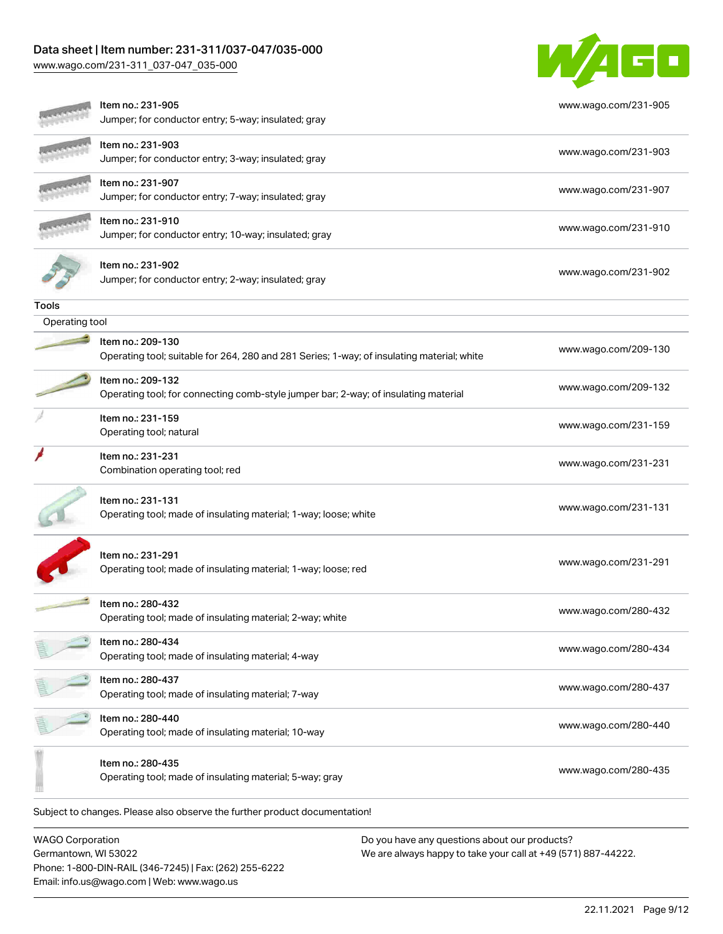### Data sheet | Item number: 231-311/037-047/035-000

[www.wago.com/231-311\\_037-047\\_035-000](http://www.wago.com/231-311_037-047_035-000)



| Item no.: 231-903<br>Jumper; for conductor entry; 3-way; insulated; gray                                        | www.wago.com/231-903 |
|-----------------------------------------------------------------------------------------------------------------|----------------------|
| Item no.: 231-907<br>Jumper; for conductor entry; 7-way; insulated; gray                                        | www.wago.com/231-907 |
| Item no.: 231-910<br>Jumper; for conductor entry; 10-way; insulated; gray                                       | www.wago.com/231-910 |
| Item no.: 231-902<br>Jumper; for conductor entry; 2-way; insulated; gray                                        | www.wago.com/231-902 |
|                                                                                                                 |                      |
| Operating tool                                                                                                  |                      |
| Item no.: 209-130<br>Operating tool; suitable for 264, 280 and 281 Series; 1-way; of insulating material; white | www.wago.com/209-130 |
| Item no.: 209-132<br>Operating tool; for connecting comb-style jumper bar; 2-way; of insulating material        | www.wago.com/209-132 |
| Item no.: 231-159<br>Operating tool; natural                                                                    | www.wago.com/231-159 |
| Item no.: 231-231<br>Combination operating tool; red                                                            | www.wago.com/231-231 |
| Item no.: 231-131<br>Operating tool; made of insulating material; 1-way; loose; white                           | www.wago.com/231-131 |
| Item no.: 231-291<br>Operating tool; made of insulating material; 1-way; loose; red                             | www.wago.com/231-291 |
| Item no.: 280-432<br>Operating tool; made of insulating material; 2-way; white                                  | www.wago.com/280-432 |
| Item no.: 280-434<br>Operating tool; made of insulating material; 4-way                                         | www.wago.com/280-434 |
| Item no.: 280-437<br>Operating tool; made of insulating material; 7-way                                         | www.wago.com/280-437 |
| Item no.: 280-440<br>Operating tool; made of insulating material; 10-way                                        | www.wago.com/280-440 |
| Item no.: 280-435<br>Operating tool; made of insulating material; 5-way; gray                                   | www.wago.com/280-435 |
|                                                                                                                 |                      |

WAGO Corporation Germantown, WI 53022 Phone: 1-800-DIN-RAIL (346-7245) | Fax: (262) 255-6222 Email: info.us@wago.com | Web: www.wago.us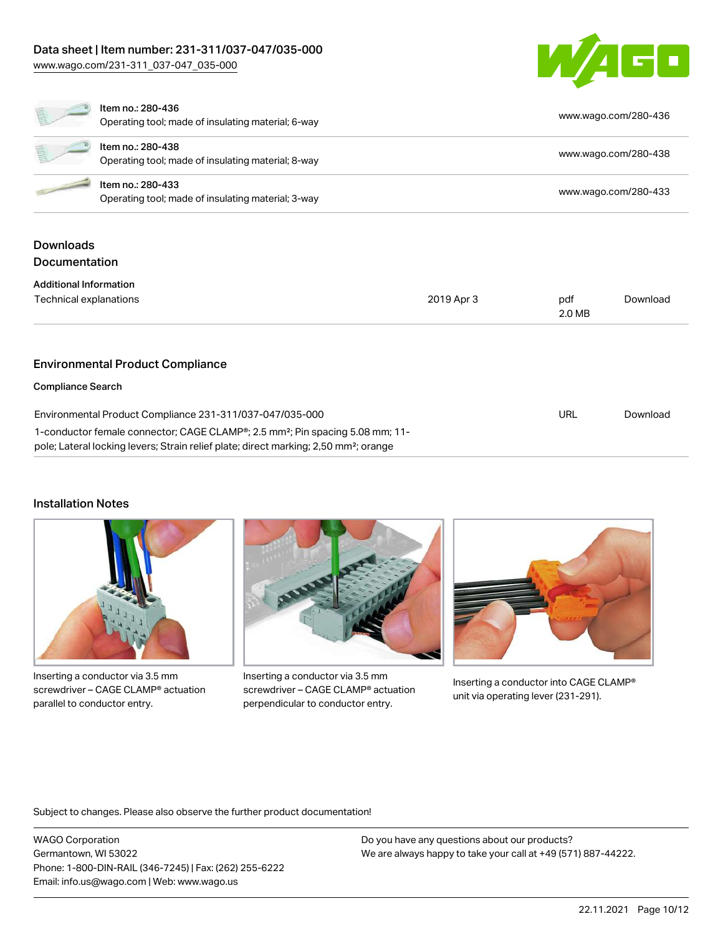

|                                                    | Item no.: 280-436                                  |            |        | www.wago.com/280-436 |  |
|----------------------------------------------------|----------------------------------------------------|------------|--------|----------------------|--|
|                                                    | Operating tool; made of insulating material; 6-way |            |        |                      |  |
|                                                    | Item no.: 280-438                                  |            |        | www.wago.com/280-438 |  |
|                                                    | Operating tool; made of insulating material; 8-way |            |        |                      |  |
|                                                    | Item no.: 280-433                                  |            |        |                      |  |
| Operating tool; made of insulating material; 3-way |                                                    |            |        | www.wago.com/280-433 |  |
|                                                    |                                                    |            |        |                      |  |
| <b>Downloads</b>                                   |                                                    |            |        |                      |  |
| Documentation                                      |                                                    |            |        |                      |  |
| <b>Additional Information</b>                      |                                                    |            |        |                      |  |
| Technical explanations                             |                                                    | 2019 Apr 3 | pdf    | Download             |  |
|                                                    |                                                    |            | 2.0 MB |                      |  |
|                                                    |                                                    |            |        |                      |  |
|                                                    | <b>Environmental Product Compliance</b>            |            |        |                      |  |
| <b>Compliance Search</b>                           |                                                    |            |        |                      |  |

| Environmental Product Compliance 231-311/037-047/035-000                                               | URL | Download |
|--------------------------------------------------------------------------------------------------------|-----|----------|
| 1-conductor female connector; CAGE CLAMP <sup>®</sup> ; 2.5 mm <sup>2</sup> ; Pin spacing 5.08 mm; 11- |     |          |
| pole; Lateral locking levers; Strain relief plate; direct marking; 2,50 mm <sup>2</sup> ; orange       |     |          |

#### Installation Notes



Inserting a conductor via 3.5 mm screwdriver – CAGE CLAMP® actuation parallel to conductor entry.



Inserting a conductor via 3.5 mm screwdriver – CAGE CLAMP® actuation perpendicular to conductor entry.



Inserting a conductor into CAGE CLAMP® unit via operating lever (231-291).

Subject to changes. Please also observe the further product documentation!

WAGO Corporation Germantown, WI 53022 Phone: 1-800-DIN-RAIL (346-7245) | Fax: (262) 255-6222 Email: info.us@wago.com | Web: www.wago.us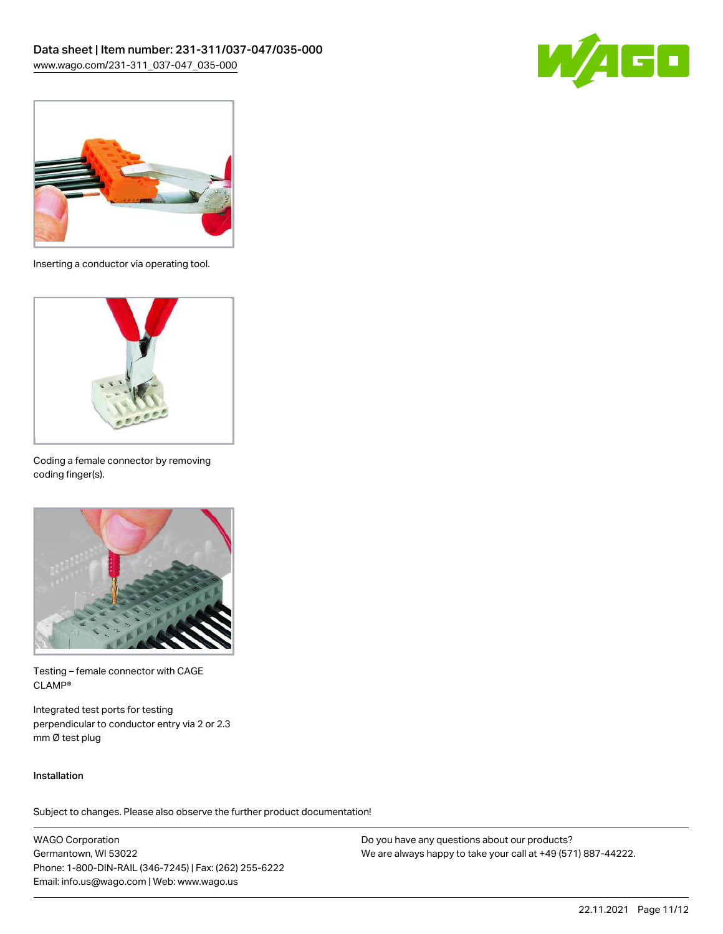



Inserting a conductor via operating tool.



Coding a female connector by removing coding finger(s).



Testing – female connector with CAGE CLAMP®

Integrated test ports for testing perpendicular to conductor entry via 2 or 2.3 mm Ø test plug

### Installation

Subject to changes. Please also observe the further product documentation!

WAGO Corporation Germantown, WI 53022 Phone: 1-800-DIN-RAIL (346-7245) | Fax: (262) 255-6222 Email: info.us@wago.com | Web: www.wago.us